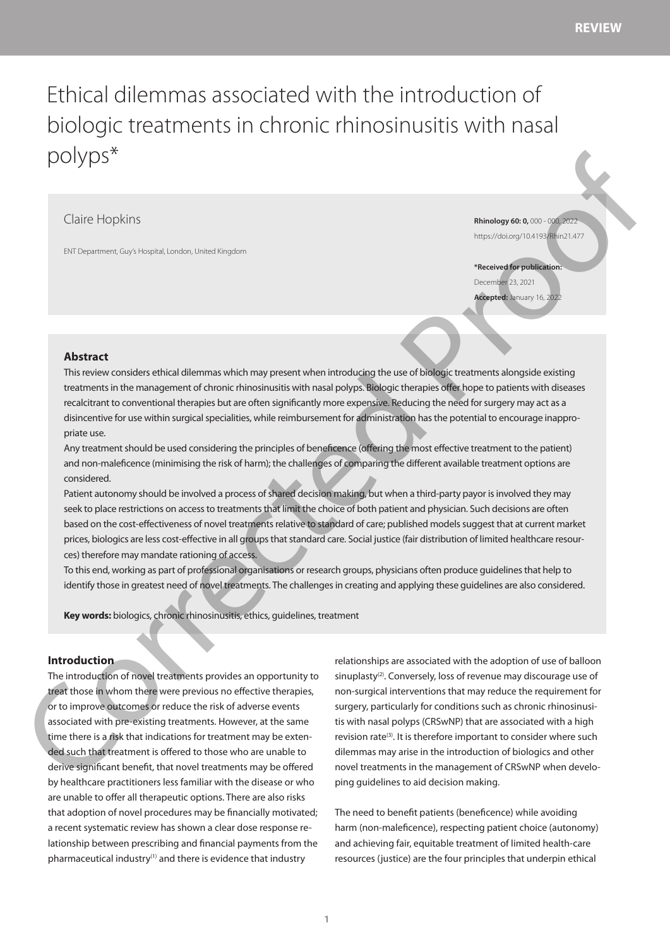Ethical dilemmas associated with the introduction of biologic treatments in chronic rhinosinusitis with nasal polyps\*

# Claire Hopkins

ENT Department, Guy's Hospital, London, United Kingdom

**Rhinology 60: 0,** 000 - 000, 2022 https://doi.org/10.4193/Rhin21.477

**\*Received for publication:** December 23, 2021 **Accepted:** January 16, 2022

#### **Abstract**

This review considers ethical dilemmas which may present when introducing the use of biologic treatments alongside existing treatments in the management of chronic rhinosinusitis with nasal polyps. Biologic therapies offer hope to patients with diseases recalcitrant to conventional therapies but are often significantly more expensive. Reducing the need for surgery may act as a disincentive for use within surgical specialities, while reimbursement for administration has the potential to encourage inappropriate use.

Any treatment should be used considering the principles of beneficence (offering the most effective treatment to the patient) and non-maleficence (minimising the risk of harm); the challenges of comparing the different available treatment options are considered.

Patient autonomy should be involved a process of shared decision making, but when a third-party payor is involved they may seek to place restrictions on access to treatments that limit the choice of both patient and physician. Such decisions are often based on the cost-effectiveness of novel treatments relative to standard of care; published models suggest that at current market prices, biologics are less cost-effective in all groups that standard care. Social justice (fair distribution of limited healthcare resources) therefore may mandate rationing of access.  $\text{DO}$  ( $\text{Li}_2$  is top plains<br>
in the strengthening and the strengthening and the strengthening and the strengthening and the strengthening and the strengthening and the strengthening and the strengthening and the stre

To this end, working as part of professional organisations or research groups, physicians often produce guidelines that help to identify those in greatest need of novel treatments. The challenges in creating and applying these guidelines are also considered.

**Key words:** biologics, chronic rhinosinusitis, ethics, guidelines, treatment

### **Introduction**

The introduction of novel treatments provides an opportunity to treat those in whom there were previous no effective therapies, or to improve outcomes or reduce the risk of adverse events associated with pre-existing treatments. However, at the same time there is a risk that indications for treatment may be extended such that treatment is offered to those who are unable to derive significant benefit, that novel treatments may be offered by healthcare practitioners less familiar with the disease or who are unable to offer all therapeutic options. There are also risks that adoption of novel procedures may be financially motivated; a recent systematic review has shown a clear dose response relationship between prescribing and financial payments from the pharmaceutical industry $(1)$  and there is evidence that industry

relationships are associated with the adoption of use of balloon sinuplasty<sup>(2)</sup>. Conversely, loss of revenue may discourage use of non-surgical interventions that may reduce the requirement for surgery, particularly for conditions such as chronic rhinosinusitis with nasal polyps (CRSwNP) that are associated with a high revision rate<sup>(3)</sup>. It is therefore important to consider where such dilemmas may arise in the introduction of biologics and other novel treatments in the management of CRSwNP when developing guidelines to aid decision making.

The need to benefit patients (beneficence) while avoiding harm (non-maleficence), respecting patient choice (autonomy) and achieving fair, equitable treatment of limited health-care resources (justice) are the four principles that underpin ethical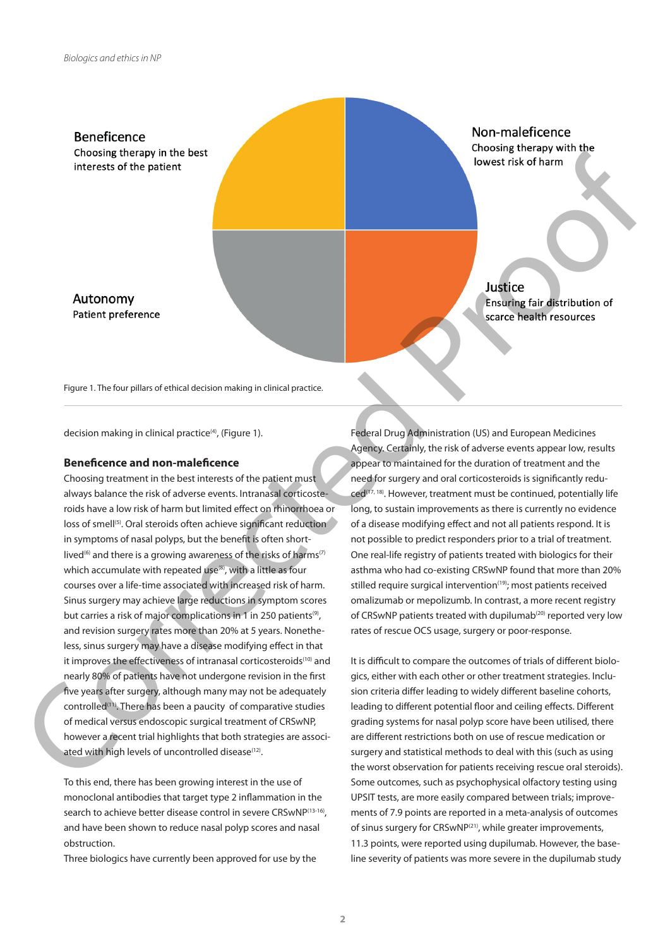

decision making in clinical practice<sup>(4)</sup>, (Figure 1).

#### **Beneficence and non-maleficence**

Choosing treatment in the best interests of the patient must always balance the risk of adverse events. Intranasal corticosteroids have a low risk of harm but limited effect on rhinorrhoea or loss of smell<sup>(5)</sup>. Oral steroids often achieve significant reduction in symptoms of nasal polyps, but the benefit is often shortlived<sup>(6)</sup> and there is a growing awareness of the risks of harms<sup>(7)</sup> which accumulate with repeated use<sup>(8)</sup>, with a little as four courses over a life-time associated with increased risk of harm. Sinus surgery may achieve large reductions in symptom scores but carries a risk of major complications in 1 in 250 patients<sup>(9)</sup>, and revision surgery rates more than 20% at 5 years. Nonetheless, sinus surgery may have a disease modifying effect in that it improves the effectiveness of intranasal corticosteroids<sup>(10)</sup> and nearly 80% of patients have not undergone revision in the first five years after surgery, although many may not be adequately controlled<sup>(11)</sup>. There has been a paucity of comparative studies of medical versus endoscopic surgical treatment of CRSwNP, however a recent trial highlights that both strategies are associated with high levels of uncontrolled disease<sup>(12)</sup>.

To this end, there has been growing interest in the use of monoclonal antibodies that target type 2 inflammation in the search to achieve better disease control in severe CRSwNP(13-16), and have been shown to reduce nasal polyp scores and nasal obstruction.

Three biologics have currently been approved for use by the

Federal Drug Administration (US) and European Medicines Agency. Certainly, the risk of adverse events appear low, results appear to maintained for the duration of treatment and the need for surgery and oral corticosteroids is significantly reduced(17, 18). However, treatment must be continued, potentially life long, to sustain improvements as there is currently no evidence of a disease modifying effect and not all patients respond. It is not possible to predict responders prior to a trial of treatment. One real-life registry of patients treated with biologics for their asthma who had co-existing CRSwNP found that more than 20% stilled require surgical intervention<sup>(19)</sup>; most patients received omalizumab or mepolizumb. In contrast, a more recent registry of CRSwNP patients treated with dupilumab<sup>(20)</sup> reported very low rates of rescue OCS usage, surgery or poor-response.

It is difficult to compare the outcomes of trials of different biologics, either with each other or other treatment strategies. Inclusion criteria differ leading to widely different baseline cohorts, leading to different potential floor and ceiling effects. Different grading systems for nasal polyp score have been utilised, there are different restrictions both on use of rescue medication or surgery and statistical methods to deal with this (such as using the worst observation for patients receiving rescue oral steroids). Some outcomes, such as psychophysical olfactory testing using UPSIT tests, are more easily compared between trials; improvements of 7.9 points are reported in a meta-analysis of outcomes of sinus surgery for CRSwNP(21), while greater improvements, 11.3 points, were reported using dupilumab. However, the baseline severity of patients was more severe in the dupilumab study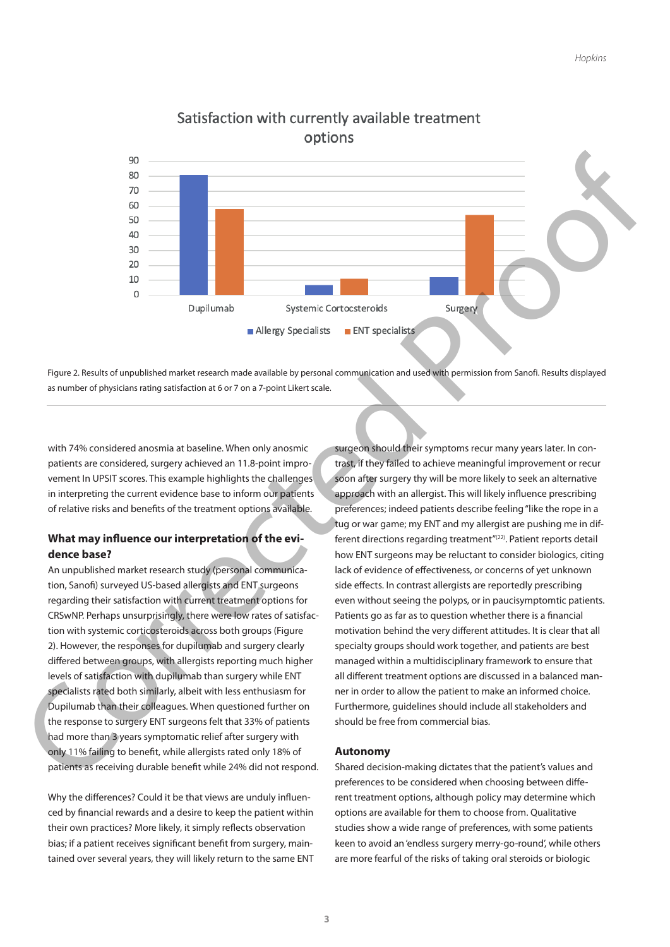

# Satisfaction with currently available treatment options

Figure 2. Results of unpublished market research made available by personal communication and used with permission from Sanofi. Results displayed as number of physicians rating satisfaction at 6 or 7 on a 7-point Likert scale.

with 74% considered anosmia at baseline. When only anosmic patients are considered, surgery achieved an 11.8-point improvement In UPSIT scores. This example highlights the challenges in interpreting the current evidence base to inform our patients of relative risks and benefits of the treatment options available.

# **What may influence our interpretation of the evidence base?**

An unpublished market research study (personal communication, Sanofi) surveyed US-based allergists and ENT surgeons regarding their satisfaction with current treatment options for CRSwNP. Perhaps unsurprisingly, there were low rates of satisfaction with systemic corticosteroids across both groups (Figure 2). However, the responses for dupilumab and surgery clearly differed between groups, with allergists reporting much higher levels of satisfaction with dupilumab than surgery while ENT specialists rated both similarly, albeit with less enthusiasm for Dupilumab than their colleagues. When questioned further on the response to surgery ENT surgeons felt that 33% of patients had more than 3 years symptomatic relief after surgery with only 11% failing to benefit, while allergists rated only 18% of patients as receiving durable benefit while 24% did not respond.

Why the differences? Could it be that views are unduly influenced by financial rewards and a desire to keep the patient within their own practices? More likely, it simply reflects observation bias; if a patient receives significant benefit from surgery, maintained over several years, they will likely return to the same ENT surgeon should their symptoms recur many years later. In contrast, if they failed to achieve meaningful improvement or recur soon after surgery thy will be more likely to seek an alternative approach with an allergist. This will likely influence prescribing preferences; indeed patients describe feeling "like the rope in a tug or war game; my ENT and my allergist are pushing me in different directions regarding treatment"(22). Patient reports detail how ENT surgeons may be reluctant to consider biologics, citing lack of evidence of effectiveness, or concerns of yet unknown side effects. In contrast allergists are reportedly prescribing even without seeing the polyps, or in paucisymptomtic patients. Patients go as far as to question whether there is a financial motivation behind the very different attitudes. It is clear that all specialty groups should work together, and patients are best managed within a multidisciplinary framework to ensure that all different treatment options are discussed in a balanced manner in order to allow the patient to make an informed choice. Furthermore, guidelines should include all stakeholders and should be free from commercial bias.

### **Autonomy**

Shared decision-making dictates that the patient's values and preferences to be considered when choosing between different treatment options, although policy may determine which options are available for them to choose from. Qualitative studies show a wide range of preferences, with some patients keen to avoid an 'endless surgery merry-go-round', while others are more fearful of the risks of taking oral steroids or biologic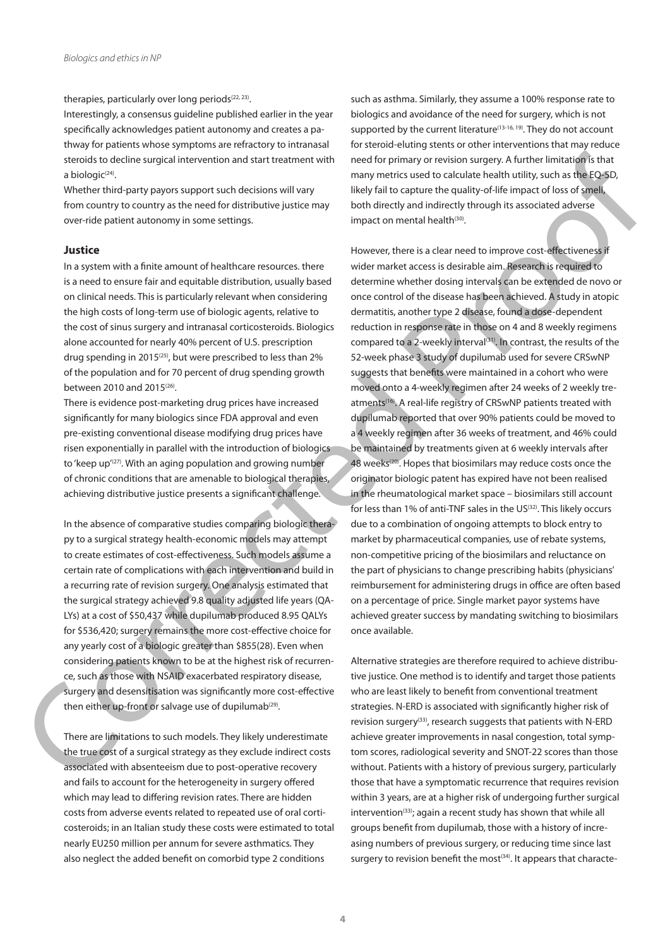therapies, particularly over long periods<sup>(22, 23)</sup>.

Interestingly, a consensus guideline published earlier in the year specifically acknowledges patient autonomy and creates a pathway for patients whose symptoms are refractory to intranasal steroids to decline surgical intervention and start treatment with a biologi $c^{(24)}$ .

Whether third-party payors support such decisions will vary from country to country as the need for distributive justice may over-ride patient autonomy in some settings.

### **Justice**

In a system with a finite amount of healthcare resources. there is a need to ensure fair and equitable distribution, usually based on clinical needs. This is particularly relevant when considering the high costs of long-term use of biologic agents, relative to the cost of sinus surgery and intranasal corticosteroids. Biologics alone accounted for nearly 40% percent of U.S. prescription drug spending in 2015<sup>(25)</sup>, but were prescribed to less than 2% of the population and for 70 percent of drug spending growth between 2010 and 2015<sup>(26)</sup>.

There is evidence post-marketing drug prices have increased significantly for many biologics since FDA approval and even pre-existing conventional disease modifying drug prices have risen exponentially in parallel with the introduction of biologics to 'keep up'(27). With an aging population and growing number of chronic conditions that are amenable to biological therapies, achieving distributive justice presents a significant challenge.

In the absence of comparative studies comparing biologic therapy to a surgical strategy health-economic models may attempt to create estimates of cost-effectiveness. Such models assume a certain rate of complications with each intervention and build in a recurring rate of revision surgery. One analysis estimated that the surgical strategy achieved 9.8 quality adjusted life years (QA-LYs) at a cost of \$50,437 while dupilumab produced 8.95 QALYs for \$536,420; surgery remains the more cost-effective choice for any yearly cost of a biologic greater than \$855(28). Even when considering patients known to be at the highest risk of recurrence, such as those with NSAID exacerbated respiratory disease, surgery and desensitisation was significantly more cost-effective then either up-front or salvage use of dupilumab<sup>(29)</sup>.

There are limitations to such models. They likely underestimate the true cost of a surgical strategy as they exclude indirect costs associated with absenteeism due to post-operative recovery and fails to account for the heterogeneity in surgery offered which may lead to differing revision rates. There are hidden costs from adverse events related to repeated use of oral corticosteroids; in an Italian study these costs were estimated to total nearly EU250 million per annum for severe asthmatics. They also neglect the added benefit on comorbid type 2 conditions

such as asthma. Similarly, they assume a 100% response rate to biologics and avoidance of the need for surgery, which is not supported by the current literature<sup>(13-16, 19)</sup>. They do not account for steroid-eluting stents or other interventions that may reduce need for primary or revision surgery. A further limitation is that many metrics used to calculate health utility, such as the EQ-5D, likely fail to capture the quality-of-life impact of loss of smell, both directly and indirectly through its associated adverse impact on mental health<sup>(30)</sup>.

However, there is a clear need to improve cost-effectiveness if wider market access is desirable aim. Research is required to determine whether dosing intervals can be extended de novo or once control of the disease has been achieved. A study in atopic dermatitis, another type 2 disease, found a dose-dependent reduction in response rate in those on 4 and 8 weekly regimens compared to a 2-weekly interval<sup>(31)</sup>. In contrast, the results of the 52-week phase 3 study of dupilumab used for severe CRSwNP suggests that benefits were maintained in a cohort who were moved onto a 4-weekly regimen after 24 weeks of 2 weekly treatments<sup>(16)</sup>. A real-life registry of CRSwNP patients treated with dupilumab reported that over 90% patients could be moved to a 4 weekly regimen after 36 weeks of treatment, and 46% could be maintained by treatments given at 6 weekly intervals after 48 weeks<sup>(20)</sup>. Hopes that biosimilars may reduce costs once the originator biologic patent has expired have not been realised in the rheumatological market space – biosimilars still account for less than 1% of anti-TNF sales in the US<sup>(32)</sup>. This likely occurs due to a combination of ongoing attempts to block entry to market by pharmaceutical companies, use of rebate systems, non-competitive pricing of the biosimilars and reluctance on the part of physicians to change prescribing habits (physicians' reimbursement for administering drugs in office are often based on a percentage of price. Single market payor systems have achieved greater success by mandating switching to biosimilars once available. ensisten deroviden augnal interession auf etart resonant est.<br>
a also ger-<br>
a also ger-<br>
a also ger-<br>
a also ger-<br>
a also ger-<br>
a also ger-<br>
a also ger-<br>
a corrected probabilities are also germany to an external interest.

Alternative strategies are therefore required to achieve distributive justice. One method is to identify and target those patients who are least likely to benefit from conventional treatment strategies. N-ERD is associated with significantly higher risk of revision surgery<sup>(33)</sup>, research suggests that patients with N-ERD achieve greater improvements in nasal congestion, total symptom scores, radiological severity and SNOT-22 scores than those without. Patients with a history of previous surgery, particularly those that have a symptomatic recurrence that requires revision within 3 years, are at a higher risk of undergoing further surgical intervention<sup>(33)</sup>; again a recent study has shown that while all groups benefit from dupilumab, those with a history of increasing numbers of previous surgery, or reducing time since last surgery to revision benefit the most $(34)$ . It appears that characte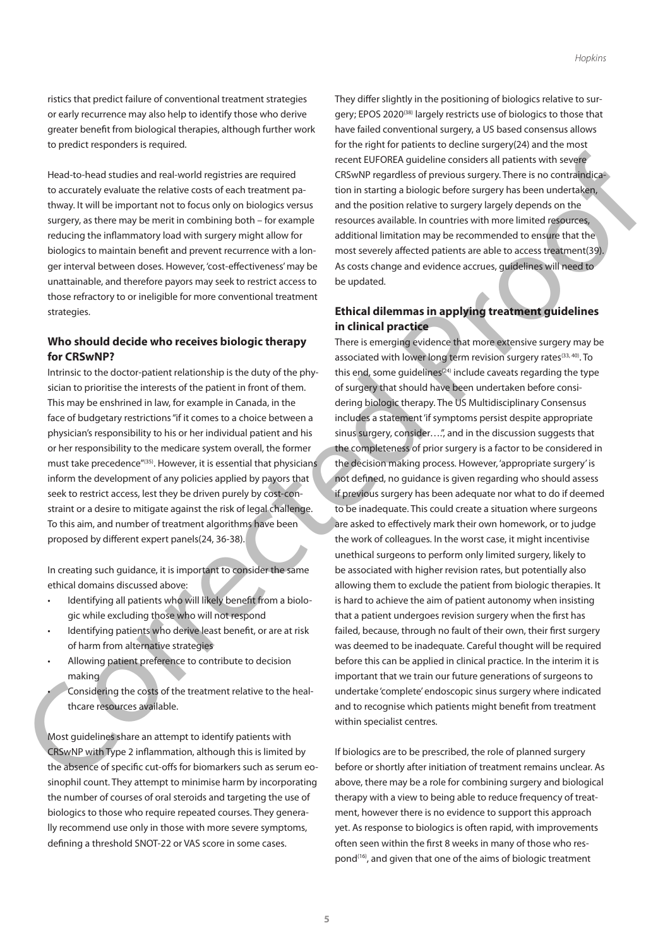ristics that predict failure of conventional treatment strategies or early recurrence may also help to identify those who derive greater benefit from biological therapies, although further work to predict responders is required.

Head-to-head studies and real-world registries are required to accurately evaluate the relative costs of each treatment pathway. It will be important not to focus only on biologics versus surgery, as there may be merit in combining both – for example reducing the inflammatory load with surgery might allow for biologics to maintain benefit and prevent recurrence with a longer interval between doses. However, 'cost-effectiveness' may be unattainable, and therefore payors may seek to restrict access to those refractory to or ineligible for more conventional treatment strategies.

# **Who should decide who receives biologic therapy for CRSwNP?**

Intrinsic to the doctor-patient relationship is the duty of the physician to prioritise the interests of the patient in front of them. This may be enshrined in law, for example in Canada, in the face of budgetary restrictions "if it comes to a choice between a physician's responsibility to his or her individual patient and his or her responsibility to the medicare system overall, the former must take precedence"(35). However, it is essential that physicians inform the development of any policies applied by payors that seek to restrict access, lest they be driven purely by cost-constraint or a desire to mitigate against the risk of legal challenge. To this aim, and number of treatment algorithms have been proposed by different expert panels(24, 36-38).

In creating such guidance, it is important to consider the same ethical domains discussed above:

- Identifying all patients who will likely benefit from a biologic while excluding those who will not respond
- Identifying patients who derive least benefit, or are at risk of harm from alternative strategies
- Allowing patient preference to contribute to decision making
	- Considering the costs of the treatment relative to the healthcare resources available.

Most guidelines share an attempt to identify patients with CRSwNP with Type 2 inflammation, although this is limited by the absence of specific cut-offs for biomarkers such as serum eosinophil count. They attempt to minimise harm by incorporating the number of courses of oral steroids and targeting the use of biologics to those who require repeated courses. They generally recommend use only in those with more severe symptoms, defining a threshold SNOT-22 or VAS score in some cases.

They differ slightly in the positioning of biologics relative to surgery; EPOS 2020<sup>(38)</sup> largely restricts use of biologics to those that have failed conventional surgery, a US based consensus allows for the right for patients to decline surgery(24) and the most recent EUFOREA guideline considers all patients with severe CRSwNP regardless of previous surgery. There is no contraindication in starting a biologic before surgery has been undertaken, and the position relative to surgery largely depends on the resources available. In countries with more limited resources, additional limitation may be recommended to ensure that the most severely affected patients are able to access treatment(39). As costs change and evidence accrues, guidelines will need to be updated.

# **Ethical dilemmas in applying treatment guidelines in clinical practice**

There is emerging evidence that more extensive surgery may be associated with lower long term revision surgery rates<sup>(33, 40)</sup>. To this end, some quidelines $(24)$  include caveats regarding the type of surgery that should have been undertaken before considering biologic therapy. The US Multidisciplinary Consensus includes a statement 'if symptoms persist despite appropriate sinus surgery, consider….", and in the discussion suggests that the completeness of prior surgery is a factor to be considered in the decision making process. However, 'appropriate surgery' is not defined, no guidance is given regarding who should assess if previous surgery has been adequate nor what to do if deemed to be inadequate. This could create a situation where surgeons are asked to effectively mark their own homework, or to judge the work of colleagues. In the worst case, it might incentivise unethical surgeons to perform only limited surgery, likely to be associated with higher revision rates, but potentially also allowing them to exclude the patient from biologic therapies. It is hard to achieve the aim of patient autonomy when insisting that a patient undergoes revision surgery when the first has failed, because, through no fault of their own, their first surgery was deemed to be inadequate. Careful thought will be required before this can be applied in clinical practice. In the interim it is important that we train our future generations of surgeons to undertake 'complete' endoscopic sinus surgery where indicated and to recognise which patients might benefit from treatment within specialist centres. Head (c-bast) studies and male words in a mean thresh spaces and corrected profers and the spaces of profession and extend the spaces of profession and the spaces of profession and the spaces of the spaces of the spaces o

If biologics are to be prescribed, the role of planned surgery before or shortly after initiation of treatment remains unclear. As above, there may be a role for combining surgery and biological therapy with a view to being able to reduce frequency of treatment, however there is no evidence to support this approach yet. As response to biologics is often rapid, with improvements often seen within the first 8 weeks in many of those who respond(16), and given that one of the aims of biologic treatment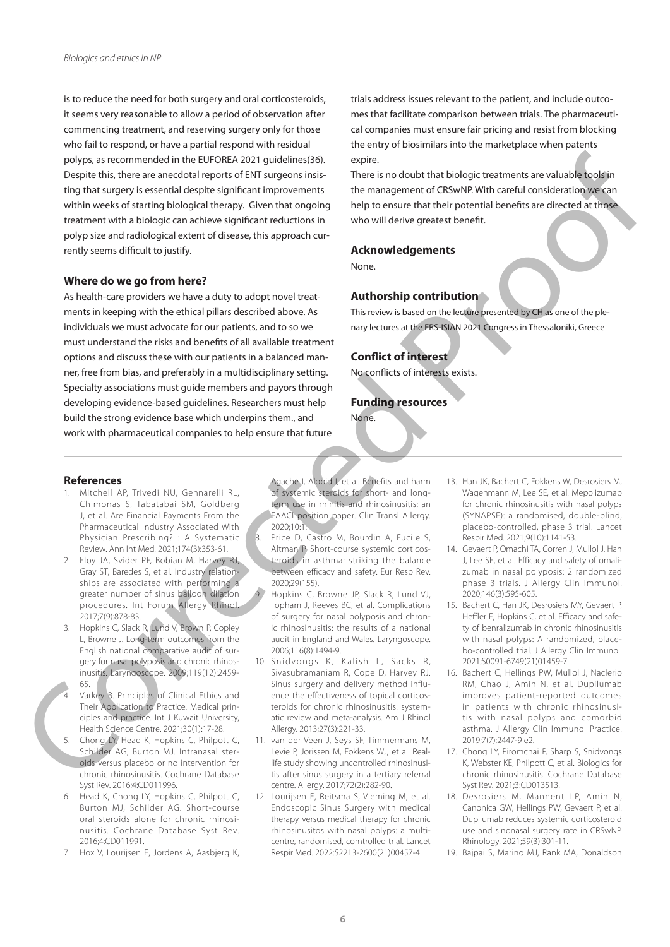is to reduce the need for both surgery and oral corticosteroids, it seems very reasonable to allow a period of observation after commencing treatment, and reserving surgery only for those who fail to respond, or have a partial respond with residual polyps, as recommended in the EUFOREA 2021 guidelines(36). Despite this, there are anecdotal reports of ENT surgeons insisting that surgery is essential despite significant improvements within weeks of starting biological therapy. Given that ongoing treatment with a biologic can achieve significant reductions in polyp size and radiological extent of disease, this approach currently seems difficult to justify.

### **Where do we go from here?**

As health-care providers we have a duty to adopt novel treatments in keeping with the ethical pillars described above. As individuals we must advocate for our patients, and to so we must understand the risks and benefits of all available treatment options and discuss these with our patients in a balanced manner, free from bias, and preferably in a multidisciplinary setting. Specialty associations must guide members and payors through developing evidence-based guidelines. Researchers must help build the strong evidence base which underpins them., and work with pharmaceutical companies to help ensure that future roles are conveniented in the USBN 07021 galacteristics. There is no solution to both the theorem is equivalence of the three corrected Proof in the USA corrected Proof in the USA corrected Proof in the USA corrected Proo

trials address issues relevant to the patient, and include outcomes that facilitate comparison between trials. The pharmaceutical companies must ensure fair pricing and resist from blocking the entry of biosimilars into the marketplace when patents expire.

There is no doubt that biologic treatments are valuable tools in the management of CRSwNP. With careful consideration we can help to ensure that their potential benefits are directed at those who will derive greatest benefit.

### **Acknowledgements**

None.

## **Authorship contribution**

This review is based on the lecture presented by CH as one of the plenary lectures at the ERS-ISIAN 2021 Congress in Thessaloniki, Greece

# **Conflict of interest**

No conflicts of interests exists.

**Funding resources** None.

#### **References**

- 1. Mitchell AP, Trivedi NU, Gennarelli RL, Chimonas S, Tabatabai SM, Goldberg J, et al. Are Financial Payments From the Pharmaceutical Industry Associated With Physician Prescribing? : A Systematic Review. Ann Int Med. 2021;174(3):353-61.
- 2. Eloy JA, Svider PF, Bobian M, Harvey RJ, Gray ST, Baredes S, et al. Industry relationships are associated with performing a greater number of sinus balloon dilation procedures. Int Forum Allergy Rhinol. 2017;7(9):878-83.
- 3. Hopkins C, Slack R, Lund V, Brown P, Copley L, Browne J. Long-term outcomes from the English national comparative audit of surgery for nasal polyposis and chronic rhinosinusitis. Laryngoscope. 2009;119(12):2459- 65.
- Varkey B. Principles of Clinical Ethics and Their Application to Practice. Medical principles and practice. Int J Kuwait University, Health Science Centre. 2021;30(1):17-28.
- 5. Chong LY, Head K, Hopkins C, Philpott C, Schilder AG, Burton MJ. Intranasal steroids versus placebo or no intervention for chronic rhinosinusitis. Cochrane Database Syst Rev. 2016;4:CD011996.
- 6. Head K, Chong LY, Hopkins C, Philpott C, Burton MJ, Schilder AG. Short-course oral steroids alone for chronic rhinosinusitis. Cochrane Database Syst Rev. 2016;4:CD011991.
- 7. Hox V, Lourijsen E, Jordens A, Aasbjerg K,

Agache I, Alobid I, et al. Benefits and harm of systemic steroids for short- and longterm use in rhinitis and rhinosinusitis: an EAACI position paper. Clin Transl Allergy. 2020;10:1.

- 8. Price D, Castro M, Bourdin A, Fucile S, Altman P. Short-course systemic corticosteroids in asthma: striking the balance between efficacy and safety. Eur Resp Rev. 2020;29(155).
	- Hopkins C, Browne JP, Slack R, Lund VJ, Topham J, Reeves BC, et al. Complications of surgery for nasal polyposis and chronic rhinosinusitis: the results of a national audit in England and Wales. Laryngoscope. 2006;116(8):1494-9.
- 10. Snidvongs K, Kalish L, Sacks R, Sivasubramaniam R, Cope D, Harvey RJ. Sinus surgery and delivery method influence the effectiveness of topical corticosteroids for chronic rhinosinusitis: systematic review and meta-analysis. Am J Rhinol Allergy. 2013;27(3):221-33.
- 11. van der Veen J, Seys SF, Timmermans M, Levie P, Jorissen M, Fokkens WJ, et al. Reallife study showing uncontrolled rhinosinusitis after sinus surgery in a tertiary referral centre. Allergy. 2017;72(2):282-90.
- 12. Lourijsen E, Reitsma S, Vleming M, et al. Endoscopic Sinus Surgery with medical therapy versus medical therapy for chronic rhinosinusitos with nasal polyps: a multicentre, randomised, comtrolled trial. Lancet Respir Med. 2022:S2213-2600(21)00457-4.
- 13. Han JK, Bachert C, Fokkens W, Desrosiers M, Wagenmann M, Lee SE, et al. Mepolizumab for chronic rhinosinusitis with nasal polyps (SYNAPSE): a randomised, double-blind, placebo-controlled, phase 3 trial. Lancet Respir Med. 2021;9(10):1141-53.
- 14. Gevaert P, Omachi TA, Corren J, Mullol J, Han J, Lee SE, et al. Efficacy and safety of omalizumab in nasal polyposis: 2 randomized phase 3 trials. J Allergy Clin Immunol. 2020;146(3):595-605.
- 15. Bachert C, Han JK, Desrosiers MY, Gevaert P, Heffler E, Hopkins C, et al. Efficacy and safety of benralizumab in chronic rhinosinusitis with nasal polyps: A randomized, placebo-controlled trial. J Allergy Clin Immunol. 2021;S0091-6749(21)01459-7.
- 16. Bachert C, Hellings PW, Mullol J, Naclerio RM, Chao J, Amin N, et al. Dupilumab improves patient-reported outcomes in patients with chronic rhinosinusitis with nasal polyps and comorbid asthma. J Allergy Clin Immunol Practice. 2019;7(7):2447-9 e2.
- 17. Chong LY, Piromchai P, Sharp S, Snidvongs K, Webster KE, Philpott C, et al. Biologics for chronic rhinosinusitis. Cochrane Database Syst Rev. 2021;3:CD013513.
- 18. Desrosiers M, Mannent LP, Amin N, Canonica GW, Hellings PW, Gevaert P, et al. Dupilumab reduces systemic corticosteroid use and sinonasal surgery rate in CRSwNP. Rhinology. 2021;59(3):301-11.
- 19. Bajpai S, Marino MJ, Rank MA, Donaldson